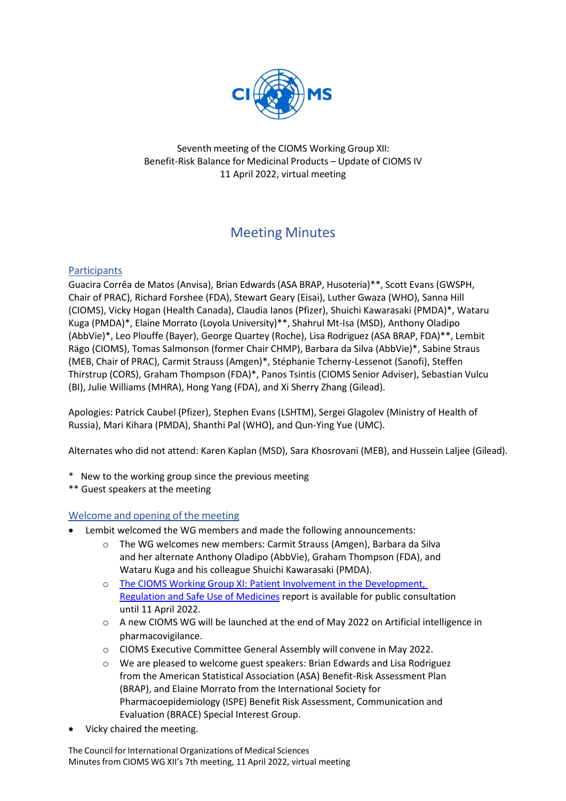

Seventh meeting of the CIOMS Working Group XII: Benefit-Risk Balance for Medicinal Products – Update of CIOMS IV 11 April 2022, virtual meeting

# Meeting Minutes

# **Participants**

Guacira Corrêa de Matos (Anvisa), Brian Edwards(ASA BRAP, Husoteria)\*\*, Scott Evans (GWSPH, Chair of PRAC), Richard Forshee (FDA), Stewart Geary (Eisai), Luther Gwaza (WHO), Sanna Hill (CIOMS), Vicky Hogan (Health Canada), Claudia Ianos (Pfizer), Shuichi Kawarasaki (PMDA)\*, Wataru Kuga (PMDA)\*, Elaine Morrato (Loyola University)\*\*, Shahrul Mt-Isa (MSD), Anthony Oladipo (AbbVie)\*, Leo Plouffe (Bayer), George Quartey (Roche), Lisa Rodriguez (ASA BRAP, FDA)\*\*, Lembit Rägo (CIOMS), Tomas Salmonson (former Chair CHMP), Barbara da Silva (AbbVie)\*, Sabine Straus (MEB, Chair of PRAC), Carmit Strauss (Amgen)\*, Stéphanie Tcherny-Lessenot (Sanofi), Steffen Thirstrup (CORS), Graham Thompson (FDA)\*, Panos Tsintis (CIOMS Senior Adviser), Sebastian Vulcu (BI), Julie Williams (MHRA), Hong Yang (FDA), and Xi Sherry Zhang (Gilead).

Apologies: Patrick Caubel (Pfizer), Stephen Evans (LSHTM), Sergei Glagolev (Ministry of Health of Russia), Mari Kihara (PMDA), Shanthi Pal (WHO), and Qun-Ying Yue (UMC).

Alternates who did not attend: Karen Kaplan (MSD), Sara Khosrovani (MEB), and Hussein Laljee (Gilead).

- \* New to the working group since the previous meeting
- \*\* Guest speakers at the meeting

# Welcome and opening of the meeting

- Lembit welcomed the WG members and made the following announcements:
	- o The WG welcomes new members: Carmit Strauss (Amgen), Barbara da Silva and her alternate Anthony Oladipo (AbbVie), Graham Thompson (FDA), and Wataru Kuga and his colleague Shuichi Kawarasaki (PMDA).
	- o [The CIOMS Working Group XI: Patient Involvement in the Development,](https://cioms.ch/working-groups/working-group-xi-patient-involvement/)  [Regulation and Safe Use of Medicines](https://cioms.ch/working-groups/working-group-xi-patient-involvement/) report is available for public consultation until 11 April 2022.
	- o A new CIOMS WG will be launched at the end of May 2022 on Artificial intelligence in pharmacovigilance.
	- o CIOMS Executive Committee General Assembly will convene in May 2022.
	- o We are pleased to welcome guest speakers: Brian Edwards and Lisa Rodriguez from the American Statistical Association (ASA) Benefit-Risk Assessment Plan (BRAP), and Elaine Morrato from the International Society for Pharmacoepidemiology (ISPE) Benefit Risk Assessment, Communication and Evaluation (BRACE) Special Interest Group.
- Vicky chaired the meeting.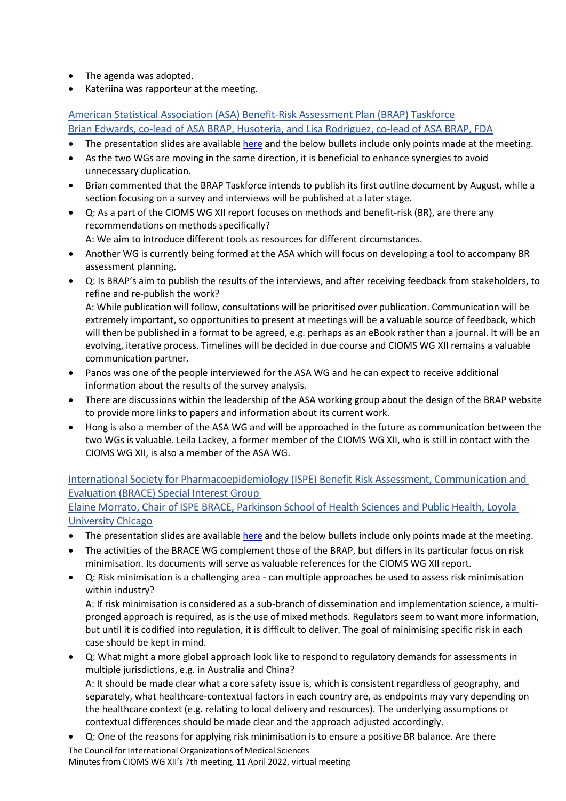- The agenda was adopted.
- Kateriina was rapporteur at the meeting.

American Statistical Association (ASA) Benefit-Risk Assessment Plan (BRAP) Taskforce Brian Edwards, co-lead of ASA BRAP, Husoteria, and Lisa Rodriguez, co-lead of ASA BRAP, FDA

- The presentation slides are availabl[e here](https://cioms.ch/wgxii-benefit-risk-working-group-documents/) and the below bullets include only points made at the meeting.
- As the two WGs are moving in the same direction, it is beneficial to enhance synergies to avoid unnecessary duplication.
- Brian commented that the BRAP Taskforce intends to publish its first outline document by August, while a section focusing on a survey and interviews will be published at a later stage.
- Q: As a part of the CIOMS WG XII report focuses on methods and benefit-risk (BR), are there any recommendations on methods specifically?

A: We aim to introduce different tools as resources for different circumstances.

- Another WG is currently being formed at the ASA which will focus on developing a tool to accompany BR assessment planning.
- Q: Is BRAP's aim to publish the results of the interviews, and after receiving feedback from stakeholders, to refine and re-publish the work?

A: While publication will follow, consultations will be prioritised over publication. Communication will be extremely important, so opportunities to present at meetings will be a valuable source of feedback, which will then be published in a format to be agreed, e.g. perhaps as an eBook rather than a journal. It will be an evolving, iterative process. Timelines will be decided in due course and CIOMS WG XII remains a valuable communication partner.

- Panos was one of the people interviewed for the ASA WG and he can expect to receive additional information about the results of the survey analysis.
- There are discussions within the leadership of the ASA working group about the design of the BRAP website to provide more links to papers and information about its current work.
- Hong is also a member of the ASA WG and will be approached in the future as communication between the two WGs is valuable. Leila Lackey, a former member of the CIOMS WG XII, who is still in contact with the CIOMS WG XII, is also a member of the ASA WG.

International Society for Pharmacoepidemiology (ISPE) Benefit Risk Assessment, Communication and Evaluation (BRACE) Special Interest Group

Elaine Morrato, Chair of ISPE BRACE, Parkinson School of Health Sciences and Public Health, Loyola University Chicago

- The presentation slides are availabl[e here](https://cioms.ch/wgxii-benefit-risk-working-group-documents/) and the below bullets include only points made at the meeting.
- The activities of the BRACE WG complement those of the BRAP, but differs in its particular focus on risk minimisation. Its documents will serve as valuable references for the CIOMS WG XII report.
- Q: Risk minimisation is a challenging area can multiple approaches be used to assess risk minimisation within industry?

A: If risk minimisation is considered as a sub-branch of dissemination and implementation science, a multipronged approach is required, as is the use of mixed methods. Regulators seem to want more information, but until it is codified into regulation, it is difficult to deliver. The goal of minimising specific risk in each case should be kept in mind.

 Q: What might a more global approach look like to respond to regulatory demands for assessments in multiple jurisdictions, e.g. in Australia and China?

A: It should be made clear what a core safety issue is, which is consistent regardless of geography, and separately, what healthcare-contextual factors in each country are, as endpoints may vary depending on the healthcare context (e.g. relating to local delivery and resources). The underlying assumptions or contextual differences should be made clear and the approach adjusted accordingly.

Q: One of the reasons for applying risk minimisation is to ensure a positive BR balance. Are there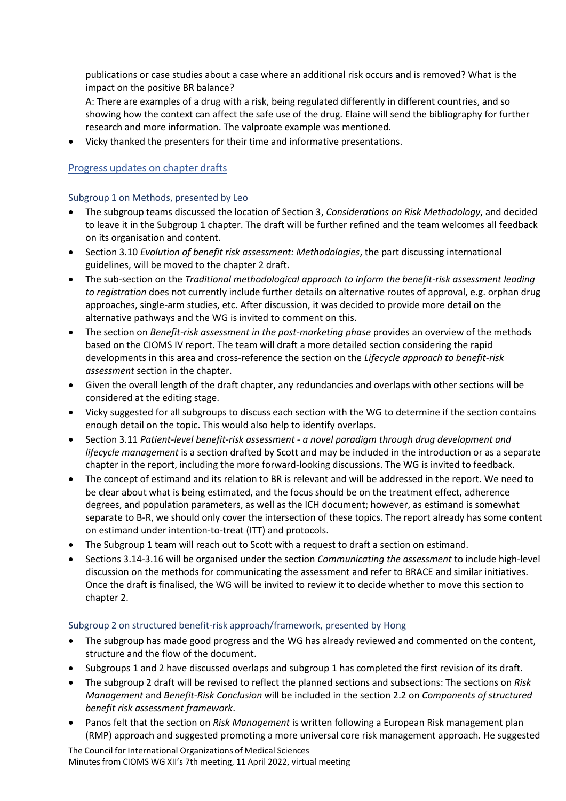publications or case studies about a case where an additional risk occurs and is removed? What is the impact on the positive BR balance?

A: There are examples of a drug with a risk, being regulated differently in different countries, and so showing how the context can affect the safe use of the drug. Elaine will send the bibliography for further research and more information. The valproate example was mentioned.

Vicky thanked the presenters for their time and informative presentations.

## Progress updates on chapter drafts

Subgroup 1 on Methods, presented by Leo

- The subgroup teams discussed the location of Section 3, *Considerations on Risk Methodology*, and decided to leave it in the Subgroup 1 chapter. The draft will be further refined and the team welcomes all feedback on its organisation and content.
- Section 3.10 *Evolution of benefit risk assessment: Methodologies*, the part discussing international guidelines, will be moved to the chapter 2 draft.
- The sub-section on the *Traditional methodological approach to inform the benefit-risk assessment leading to registration* does not currently include further details on alternative routes of approval, e.g. orphan drug approaches, single-arm studies, etc. After discussion, it was decided to provide more detail on the alternative pathways and the WG is invited to comment on this.
- The section on *Benefit-risk assessment in the post-marketing phase* provides an overview of the methods based on the CIOMS IV report. The team will draft a more detailed section considering the rapid developments in this area and cross-reference the section on the *Lifecycle approach to benefit-risk assessment* section in the chapter.
- Given the overall length of the draft chapter, any redundancies and overlaps with other sections will be considered at the editing stage.
- Vicky suggested for all subgroups to discuss each section with the WG to determine if the section contains enough detail on the topic. This would also help to identify overlaps.
- Section 3.11 *Patient-level benefit-risk assessment - a novel paradigm through drug development and lifecycle management* is a section drafted by Scott and may be included in the introduction or as a separate chapter in the report, including the more forward-looking discussions. The WG is invited to feedback.
- The concept of estimand and its relation to BR is relevant and will be addressed in the report. We need to be clear about what is being estimated, and the focus should be on the treatment effect, adherence degrees, and population parameters, as well as the ICH document; however, as estimand is somewhat separate to B-R, we should only cover the intersection of these topics. The report already has some content on estimand under intention-to-treat (ITT) and protocols.
- The Subgroup 1 team will reach out to Scott with a request to draft a section on estimand.
- Sections 3.14-3.16 will be organised under the section *Communicating the assessment* to include high-level discussion on the methods for communicating the assessment and refer to BRACE and similar initiatives. Once the draft is finalised, the WG will be invited to review it to decide whether to move this section to chapter 2.

#### Subgroup 2 on structured benefit-risk approach/framework, presented by Hong

- The subgroup has made good progress and the WG has already reviewed and commented on the content, structure and the flow of the document.
- Subgroups 1 and 2 have discussed overlaps and subgroup 1 has completed the first revision of its draft.
- The subgroup 2 draft will be revised to reflect the planned sections and subsections: The sections on *Risk Management* and *Benefit-Risk Conclusion* will be included in the section 2.2 on *Components of structured benefit risk assessment framework*.
- Panos felt that the section on *Risk Management* is written following a European Risk management plan (RMP) approach and suggested promoting a more universal core risk management approach. He suggested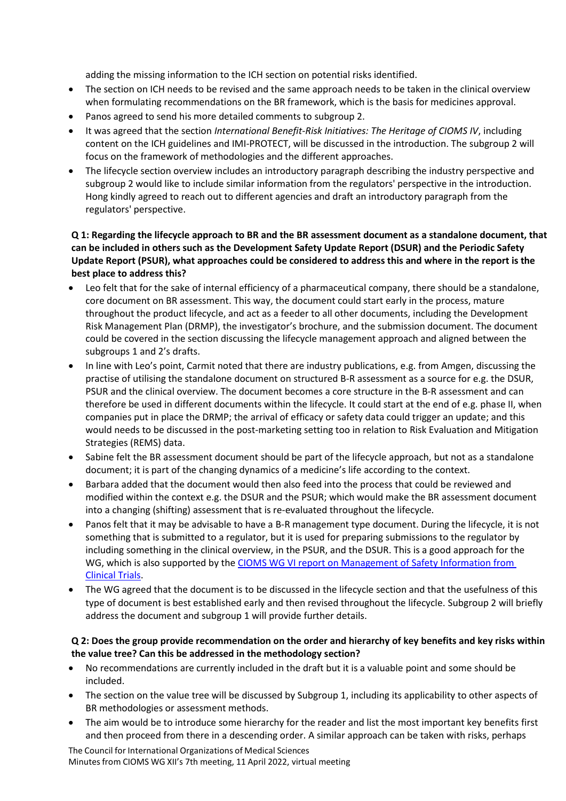adding the missing information to the ICH section on potential risks identified.

- The section on ICH needs to be revised and the same approach needs to be taken in the clinical overview when formulating recommendations on the BR framework, which is the basis for medicines approval.
- Panos agreed to send his more detailed comments to subgroup 2.
- It was agreed that the section *International Benefit-Risk Initiatives: The Heritage of CIOMS IV*, including content on the ICH guidelines and IMI-PROTECT, will be discussed in the introduction. The subgroup 2 will focus on the framework of methodologies and the different approaches.
- The lifecycle section overview includes an introductory paragraph describing the industry perspective and subgroup 2 would like to include similar information from the regulators' perspective in the introduction. Hong kindly agreed to reach out to different agencies and draft an introductory paragraph from the regulators' perspective.

## **Q 1: Regarding the lifecycle approach to BR and the BR assessment document as a standalone document, that can be included in others such as the Development Safety Update Report (DSUR) and the Periodic Safety Update Report (PSUR), what approaches could be considered to address this and where in the report is the best place to address this?**

- Leo felt that for the sake of internal efficiency of a pharmaceutical company, there should be a standalone, core document on BR assessment. This way, the document could start early in the process, mature throughout the product lifecycle, and act as a feeder to all other documents, including the Development Risk Management Plan (DRMP), the investigator's brochure, and the submission document. The document could be covered in the section discussing the lifecycle management approach and aligned between the subgroups 1 and 2's drafts.
- In line with Leo's point, Carmit noted that there are industry publications, e.g. from Amgen, discussing the practise of utilising the standalone document on structured B-R assessment as a source for e.g. the DSUR, PSUR and the clinical overview. The document becomes a core structure in the B-R assessment and can therefore be used in different documents within the lifecycle. It could start at the end of e.g. phase II, when companies put in place the DRMP; the arrival of efficacy or safety data could trigger an update; and this would needs to be discussed in the post-marketing setting too in relation to Risk Evaluation and Mitigation Strategies (REMS) data.
- Sabine felt the BR assessment document should be part of the lifecycle approach, but not as a standalone document; it is part of the changing dynamics of a medicine's life according to the context.
- Barbara added that the document would then also feed into the process that could be reviewed and modified within the context e.g. the DSUR and the PSUR; which would make the BR assessment document into a changing (shifting) assessment that is re-evaluated throughout the lifecycle.
- Panos felt that it may be advisable to have a B-R management type document. During the lifecycle, it is not something that is submitted to a regulator, but it is used for preparing submissions to the regulator by including something in the clinical overview, in the PSUR, and the DSUR. This is a good approach for the WG, which is also supported by the CIOMS WG VI report on Management of Safety Information from [Clinical Trials.](https://cioms.ch/publications/product/management-of-safety-information-from-clinical-trials-report-of-cioms-working-group-vi/)
- The WG agreed that the document is to be discussed in the lifecycle section and that the usefulness of this type of document is best established early and then revised throughout the lifecycle. Subgroup 2 will briefly address the document and subgroup 1 will provide further details.

## **Q 2: Does the group provide recommendation on the order and hierarchy of key benefits and key risks within the value tree? Can this be addressed in the methodology section?**

- No recommendations are currently included in the draft but it is a valuable point and some should be included.
- The section on the value tree will be discussed by Subgroup 1, including its applicability to other aspects of BR methodologies or assessment methods.
- The aim would be to introduce some hierarchy for the reader and list the most important key benefits first and then proceed from there in a descending order. A similar approach can be taken with risks, perhaps